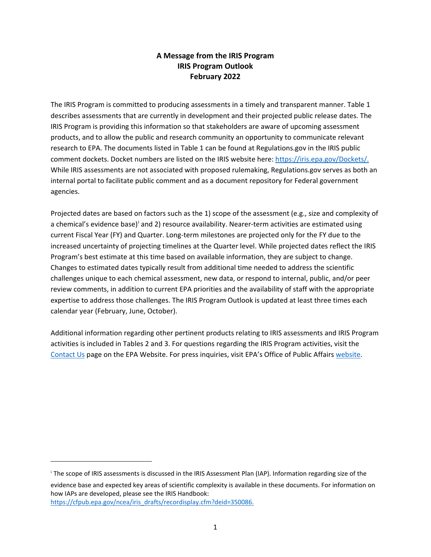## **A Message from the IRIS Program IRIS Program Outlook February 2022**

The IRIS Program is committed to producing assessments in a timely and transparent manner. Table 1 describes assessments that are currently in development and their projected public release dates. The IRIS Program is providing this information so that stakeholders are aware of upcoming assessment products, and to allow the public and research community an opportunity to communicate relevant research to EPA. The documents listed in Table 1 can be found at Regulations.gov in the IRIS public comment dockets. Docket numbers are listed on the IRIS website here: [https://iris.epa.gov/Dockets/.](https://iris.epa.gov/Dockets/) While IRIS assessments are not associated with proposed rulemaking, Regulations.gov serves as both an internal portal to facilitate public comment and as a document repository for Federal government agencies.

Projected dates are based on factors such as the 1) scope of the assessment (e.g., size and complexity of a chem[i](#page-0-0)cal's evidence base)<sup>i</sup> and 2) resource availability. Nearer-term activities are estimated using current Fiscal Year (FY) and Quarter. Long-term milestones are projected only for the FY due to the increased uncertainty of projecting timelines at the Quarter level. While projected dates reflect the IRIS Program's best estimate at this time based on available information, they are subject to change. Changes to estimated dates typically result from additional time needed to address the scientific challenges unique to each chemical assessment, new data, or respond to internal, public, and/or peer review comments, in addition to current EPA priorities and the availability of staff with the appropriate expertise to address those challenges. The IRIS Program Outlook is updated at least three times each calendar year (February, June, October).

Additional information regarding other pertinent products relating to IRIS assessments and IRIS Program activities is included in Tables 2 and 3. For questions regarding the IRIS Program activities, visit the [Contact Us](https://ecomments.epa.gov/iris/) page on the EPA Website. For press inquiries, visit EPA's Office of Public Affairs [website.](https://www.epa.gov/newsroom/media-contacts#hq)

I

<span id="page-0-0"></span><sup>&</sup>lt;sup>i</sup> The scope of IRIS assessments is discussed in the IRIS Assessment Plan (IAP). Information regarding size of the evidence base and expected key areas of scientific complexity is available in these documents. For information on how IAPs are developed, please see the IRIS Handbook: [https://cfpub.epa.gov/ncea/iris\\_drafts/recordisplay.cfm?deid=350086.](https://cfpub.epa.gov/ncea/iris_drafts/recordisplay.cfm?deid=350086)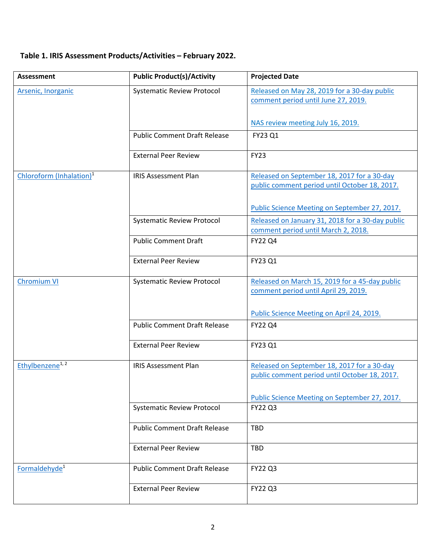## **Table 1. IRIS Assessment Products/Activities – February 2022.**

| <b>Assessment</b>                    | <b>Public Product(s)/Activity</b>   | <b>Projected Date</b>                                                               |
|--------------------------------------|-------------------------------------|-------------------------------------------------------------------------------------|
| Arsenic, Inorganic                   | <b>Systematic Review Protocol</b>   | Released on May 28, 2019 for a 30-day public<br>comment period until June 27, 2019. |
|                                      |                                     | NAS review meeting July 16, 2019.                                                   |
|                                      | <b>Public Comment Draft Release</b> | FY23 Q1                                                                             |
|                                      | <b>External Peer Review</b>         | <b>FY23</b>                                                                         |
| Chloroform (Inhalation) <sup>1</sup> | <b>IRIS Assessment Plan</b>         | Released on September 18, 2017 for a 30-day                                         |
|                                      |                                     | public comment period until October 18, 2017.                                       |
|                                      |                                     | Public Science Meeting on September 27, 2017.                                       |
|                                      | <b>Systematic Review Protocol</b>   | Released on January 31, 2018 for a 30-day public                                    |
|                                      |                                     | comment period until March 2, 2018.                                                 |
|                                      | <b>Public Comment Draft</b>         | <b>FY22 Q4</b>                                                                      |
|                                      | <b>External Peer Review</b>         | FY23 Q1                                                                             |
| <b>Chromium VI</b>                   | <b>Systematic Review Protocol</b>   | Released on March 15, 2019 for a 45-day public                                      |
|                                      |                                     | comment period until April 29, 2019.<br>Public Science Meeting on April 24, 2019.   |
|                                      | <b>Public Comment Draft Release</b> |                                                                                     |
|                                      |                                     | <b>FY22 Q4</b>                                                                      |
|                                      | <b>External Peer Review</b>         | FY23 Q1                                                                             |
| Ethylbenzene <sup>1, 2</sup>         | <b>IRIS Assessment Plan</b>         | Released on September 18, 2017 for a 30-day                                         |
|                                      |                                     | public comment period until October 18, 2017.                                       |
|                                      |                                     | Public Science Meeting on September 27, 2017.                                       |
|                                      | <b>Systematic Review Protocol</b>   | <b>FY22 Q3</b>                                                                      |
|                                      | <b>Public Comment Draft Release</b> | <b>TBD</b>                                                                          |
|                                      | <b>External Peer Review</b>         | <b>TBD</b>                                                                          |
| Formaldehyde <sup>1</sup>            | <b>Public Comment Draft Release</b> | FY22 Q3                                                                             |
|                                      | <b>External Peer Review</b>         | <b>FY22 Q3</b>                                                                      |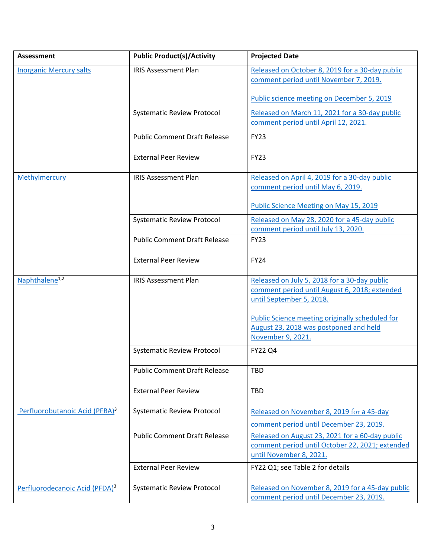| <b>Assessment</b>                          | <b>Public Product(s)/Activity</b>   | <b>Projected Date</b>                                                                                                                                                    |
|--------------------------------------------|-------------------------------------|--------------------------------------------------------------------------------------------------------------------------------------------------------------------------|
| <b>Inorganic Mercury salts</b>             | <b>IRIS Assessment Plan</b>         | Released on October 8, 2019 for a 30-day public<br>comment period until November 7, 2019.                                                                                |
|                                            |                                     | Public science meeting on December 5, 2019                                                                                                                               |
|                                            | <b>Systematic Review Protocol</b>   | Released on March 11, 2021 for a 30-day public<br>comment period until April 12, 2021.                                                                                   |
|                                            | <b>Public Comment Draft Release</b> | <b>FY23</b>                                                                                                                                                              |
|                                            | <b>External Peer Review</b>         | <b>FY23</b>                                                                                                                                                              |
| Methylmercury                              | <b>IRIS Assessment Plan</b>         | Released on April 4, 2019 for a 30-day public<br>comment period until May 6, 2019.                                                                                       |
|                                            |                                     | <b>Public Science Meeting on May 15, 2019</b>                                                                                                                            |
|                                            | <b>Systematic Review Protocol</b>   | Released on May 28, 2020 for a 45-day public<br>comment period until July 13, 2020.                                                                                      |
|                                            | <b>Public Comment Draft Release</b> | <b>FY23</b>                                                                                                                                                              |
|                                            | <b>External Peer Review</b>         | <b>FY24</b>                                                                                                                                                              |
| Naphthalene <sup>1,2</sup>                 | <b>IRIS Assessment Plan</b>         | Released on July 5, 2018 for a 30-day public<br>comment period until August 6, 2018; extended<br>until September 5, 2018.                                                |
|                                            |                                     | <b>Public Science meeting originally scheduled for</b><br>August 23, 2018 was postponed and held<br>November 9, 2021.                                                    |
|                                            | <b>Systematic Review Protocol</b>   | <b>FY22 Q4</b>                                                                                                                                                           |
|                                            | <b>Public Comment Draft Release</b> | <b>TBD</b>                                                                                                                                                               |
|                                            | <b>External Peer Review</b>         | <b>TBD</b>                                                                                                                                                               |
| Perfluorobutanoic Acid (PFBA) <sup>3</sup> | <b>Systematic Review Protocol</b>   | Released on November 8, 2019 for a 45-day                                                                                                                                |
|                                            | <b>Public Comment Draft Release</b> | comment period until December 23, 2019.<br>Released on August 23, 2021 for a 60-day public<br>comment period until October 22, 2021; extended<br>until November 8, 2021. |
|                                            | <b>External Peer Review</b>         | FY22 Q1; see Table 2 for details                                                                                                                                         |
| Perfluorodecanoic Acid (PFDA) <sup>3</sup> | <b>Systematic Review Protocol</b>   | Released on November 8, 2019 for a 45-day public<br>comment period until December 23, 2019.                                                                              |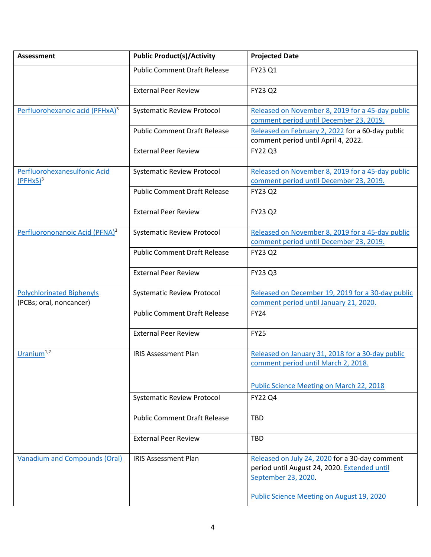| <b>Assessment</b>                                           | <b>Public Product(s)/Activity</b>   | <b>Projected Date</b>                                                                                                 |
|-------------------------------------------------------------|-------------------------------------|-----------------------------------------------------------------------------------------------------------------------|
|                                                             | <b>Public Comment Draft Release</b> | FY23 Q1                                                                                                               |
|                                                             | <b>External Peer Review</b>         | <b>FY23 Q2</b>                                                                                                        |
| Perfluorohexanoic acid (PFHxA) <sup>3</sup>                 | <b>Systematic Review Protocol</b>   | Released on November 8, 2019 for a 45-day public<br>comment period until December 23, 2019.                           |
|                                                             | <b>Public Comment Draft Release</b> | Released on February 2, 2022 for a 60-day public<br>comment period until April 4, 2022.                               |
|                                                             | <b>External Peer Review</b>         | <b>FY22 Q3</b>                                                                                                        |
| Perfluorohexanesulfonic Acid<br>$(PFHxS)^3$                 | <b>Systematic Review Protocol</b>   | Released on November 8, 2019 for a 45-day public<br>comment period until December 23, 2019.                           |
|                                                             | <b>Public Comment Draft Release</b> | <b>FY23 Q2</b>                                                                                                        |
|                                                             | <b>External Peer Review</b>         | <b>FY23 Q2</b>                                                                                                        |
| Perfluorononanoic Acid (PFNA) <sup>3</sup>                  | <b>Systematic Review Protocol</b>   | Released on November 8, 2019 for a 45-day public<br>comment period until December 23, 2019.                           |
|                                                             | <b>Public Comment Draft Release</b> | <b>FY23 Q2</b>                                                                                                        |
|                                                             | <b>External Peer Review</b>         | <b>FY23 Q3</b>                                                                                                        |
| <b>Polychlorinated Biphenyls</b><br>(PCBs; oral, noncancer) | <b>Systematic Review Protocol</b>   | Released on December 19, 2019 for a 30-day public<br>comment period until January 21, 2020.                           |
|                                                             | <b>Public Comment Draft Release</b> | <b>FY24</b>                                                                                                           |
|                                                             | <b>External Peer Review</b>         | <b>FY25</b>                                                                                                           |
| Uranium <sup>1,2</sup>                                      | <b>IRIS Assessment Plan</b>         | Released on January 31, 2018 for a 30-day public<br>comment period until March 2, 2018.                               |
|                                                             |                                     | <b>Public Science Meeting on March 22, 2018</b>                                                                       |
|                                                             | <b>Systematic Review Protocol</b>   | <b>FY22 Q4</b>                                                                                                        |
|                                                             | <b>Public Comment Draft Release</b> | <b>TBD</b>                                                                                                            |
|                                                             | <b>External Peer Review</b>         | <b>TBD</b>                                                                                                            |
| <b>Vanadium and Compounds (Oral)</b>                        | <b>IRIS Assessment Plan</b>         | Released on July 24, 2020 for a 30-day comment<br>period until August 24, 2020. Extended until<br>September 23, 2020. |
|                                                             |                                     | Public Science Meeting on August 19, 2020                                                                             |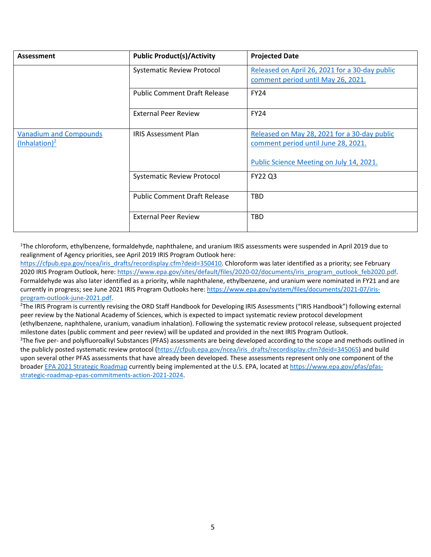| Assessment                    | <b>Public Product(s)/Activity</b>   | <b>Projected Date</b>                          |
|-------------------------------|-------------------------------------|------------------------------------------------|
|                               | <b>Systematic Review Protocol</b>   | Released on April 26, 2021 for a 30-day public |
|                               |                                     | comment period until May 26, 2021.             |
|                               | <b>Public Comment Draft Release</b> | <b>FY24</b>                                    |
|                               | <b>External Peer Review</b>         | <b>FY24</b>                                    |
| <b>Vanadium and Compounds</b> | <b>IRIS Assessment Plan</b>         | Released on May 28, 2021 for a 30-day public   |
| $(lnhalation)^2$              |                                     | comment period until June 28, 2021.            |
|                               |                                     | Public Science Meeting on July 14, 2021.       |
|                               | <b>Systematic Review Protocol</b>   | <b>FY22 Q3</b>                                 |
|                               | <b>Public Comment Draft Release</b> | TBD                                            |
|                               | <b>External Peer Review</b>         | <b>TBD</b>                                     |

<sup>1</sup>The chloroform, ethylbenzene, formaldehyde, naphthalene, and uranium IRIS assessments were suspended in April 2019 due to realignment of Agency priorities, see April 2019 IRIS Program Outlook here:

[https://cfpub.epa.gov/ncea/iris\\_drafts/recordisplay.cfm?deid=350410.](https://cfpub.epa.gov/ncea/iris_drafts/recordisplay.cfm?deid=350410) Chloroform was later identified as a priority; see February 2020 IRIS Program Outlook, here: [https://www.epa.gov/sites/default/files/2020-02/documents/iris\\_program\\_outlook\\_feb2020.pdf.](https://www.epa.gov/sites/default/files/2020-02/documents/iris_program_outlook_feb2020.pdf) Formaldehyde was also later identified as a priority, while naphthalene, ethylbenzene, and uranium were nominated in FY21 and are currently in progress; see June 2021 IRIS Program Outlooks here: [https://www.epa.gov/system/files/documents/2021-07/iris](https://www.epa.gov/system/files/documents/2021-07/iris-program-outlook-june-2021.pdf)[program-outlook-june-2021.pdf.](https://www.epa.gov/system/files/documents/2021-07/iris-program-outlook-june-2021.pdf) 2

 $2$ The IRIS Program is currently revising the ORD Staff Handbook for Developing IRIS Assessments ("IRIS Handbook") following external peer review by the National Academy of Sciences, which is expected to impact systematic review protocol development (ethylbenzene, naphthalene, uranium, vanadium inhalation). Following the systematic review protocol release, subsequent projected milestone dates (public comment and peer review) will be updated and provided in the next IRIS Program Outlook. 3 <sup>3</sup>The five per- and polyfluoroalkyl Substances (PFAS) assessments are being developed according to the scope and methods outlined in the publicly posted systematic review protocol [\(https://cfpub.epa.gov/ncea/iris\\_drafts/recordisplay.cfm?deid=345065\)](https://cfpub.epa.gov/ncea/iris_drafts/recordisplay.cfm?deid=345065) and build

upon several other PFAS assessments that have already been developed. These assessments represent only one component of the broade[r EPA 2021 Strategic Roadmap](https://www.epa.gov/system/files/documents/2021-10/pfas-roadmap_final-508.pdf) currently being implemented at the U.S. EPA, located at [https://www.epa.gov/pfas/pfas](https://www.epa.gov/pfas/pfas-strategic-roadmap-epas-commitments-action-2021-2024)[strategic-roadmap-epas-commitments-action-2021-2024.](https://www.epa.gov/pfas/pfas-strategic-roadmap-epas-commitments-action-2021-2024)